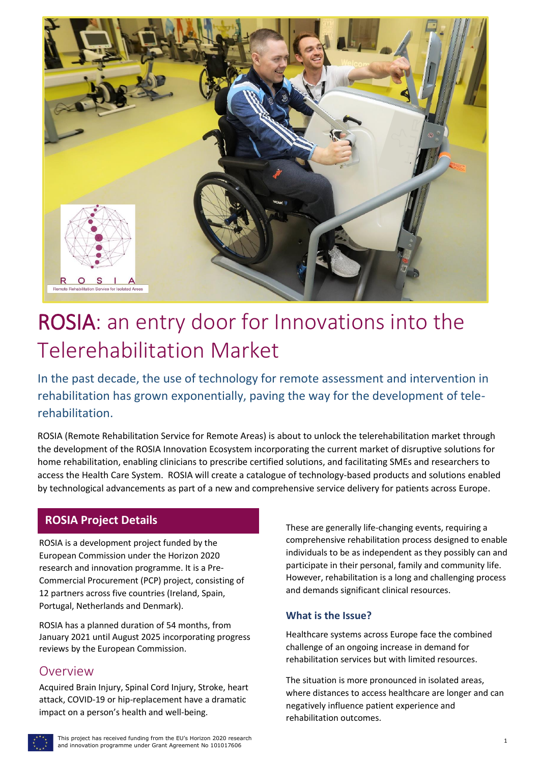

# ROSIA: an entry door for Innovations into the Telerehabilitation Market

In the past decade, the use of technology for remote assessment and intervention in rehabilitation has grown exponentially, paving the way for the development of telerehabilitation.

ROSIA (Remote Rehabilitation Service for Remote Areas) is about to unlock the telerehabilitation market through the development of the ROSIA Innovation Ecosystem incorporating the current market of disruptive solutions for home rehabilitation, enabling clinicians to prescribe certified solutions, and facilitating SMEs and researchers to access the Health Care System. ROSIA will create a catalogue of technology-based products and solutions enabled by technological advancements as part of a new and comprehensive service delivery for patients across Europe.

#### **ROSIA Project Details**

ROSIA is a development project funded by the European Commission under the Horizon 2020 research and innovation programme. It is a Pre-Commercial Procurement (PCP) project, consisting of 12 partners across five countries (Ireland, Spain, Portugal, Netherlands and Denmark).

ROSIA has a planned duration of 54 months, from January 2021 until August 2025 incorporating progress reviews by the European Commission.

#### Overview

Acquired Brain Injury, Spinal Cord Injury, Stroke, heart attack, COVID-19 or hip-replacement have a dramatic impact on a person's health and well-being.

These are generally life-changing events, requiring a comprehensive rehabilitation process designed to enable individuals to be as independent as they possibly can and participate in their personal, family and community life. However, rehabilitation is a long and challenging process and demands significant clinical resources.

#### **What is the Issue?**

Healthcare systems across Europe face the combined challenge of an ongoing increase in demand for rehabilitation services but with limited resources.

The situation is more pronounced in isolated areas, where distances to access healthcare are longer and can negatively influence patient experience and rehabilitation outcomes.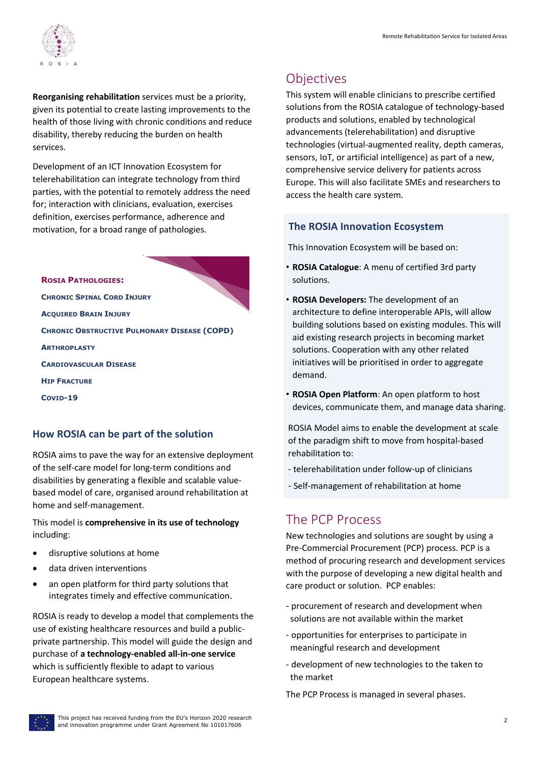

**Reorganising rehabilitation** services must be a priority, given its potential to create lasting improvements to the health of those living with chronic conditions and reduce disability, thereby reducing the burden on health services.

Development of an ICT Innovation Ecosystem for telerehabilitation can integrate technology from third parties, with the potential to remotely address the need for; interaction with clinicians, evaluation, exercises definition, exercises performance, adherence and motivation, for a broad range of pathologies.

**ROSIA PATHOLOGIES: CHRONIC SPINAL CORD INJURY ACQUIRED BRAIN INJURY CHRONIC OBSTRUCTIVE PULMONARY DISEASE (COPD) ARTHROPLASTY CARDIOVASCULAR DISEASE HIP FRACTURE COVID-19**

#### **How ROSIA can be part of the solution**

ROSIA aims to pave the way for an extensive deployment of the self-care model for long-term conditions and disabilities by generating a flexible and scalable valuebased model of care, organised around rehabilitation at home and self-management.

This model is **comprehensive in its use of technology** including:

- disruptive solutions at home
- data driven interventions
- an open platform for third party solutions that integrates timely and effective communication.

ROSIA is ready to develop a model that complements the use of existing healthcare resources and build a publicprivate partnership. This model will guide the design and purchase of **a technology-enabled all-in-one service**  which is sufficiently flexible to adapt to various European healthcare systems.

# **Objectives**

This system will enable clinicians to prescribe certified solutions from the ROSIA catalogue of technology-based products and solutions, enabled by technological advancements (telerehabilitation) and disruptive technologies (virtual-augmented reality, depth cameras, sensors, IoT, or artificial intelligence) as part of a new, comprehensive service delivery for patients across Europe. This will also facilitate SMEs and researchers to access the health care system.

#### **The ROSIA Innovation Ecosystem**

This Innovation Ecosystem will be based on:

- **ROSIA Catalogue**: A menu of certified 3rd party solutions.
- **ROSIA Developers:** The development of an architecture to define interoperable APIs, will allow building solutions based on existing modules. This will aid existing research projects in becoming market solutions. Cooperation with any other related initiatives will be prioritised in order to aggregate demand.
- **ROSIA Open Platform**: An open platform to host devices, communicate them, and manage data sharing.

ROSIA Model aims to enable the development at scale of the paradigm shift to move from hospital-based rehabilitation to:

- telerehabilitation under follow-up of clinicians
- Self-management of rehabilitation at home

# The PCP Process

New technologies and solutions are sought by using a Pre-Commercial Procurement (PCP) process. PCP is a method of procuring research and development services with the purpose of developing a new digital health and care product or solution. PCP enables:

- procurement of research and development when solutions are not available within the market
- opportunities for enterprises to participate in meaningful research and development
- development of new technologies to the taken to the market

The PCP Process is managed in several phases.

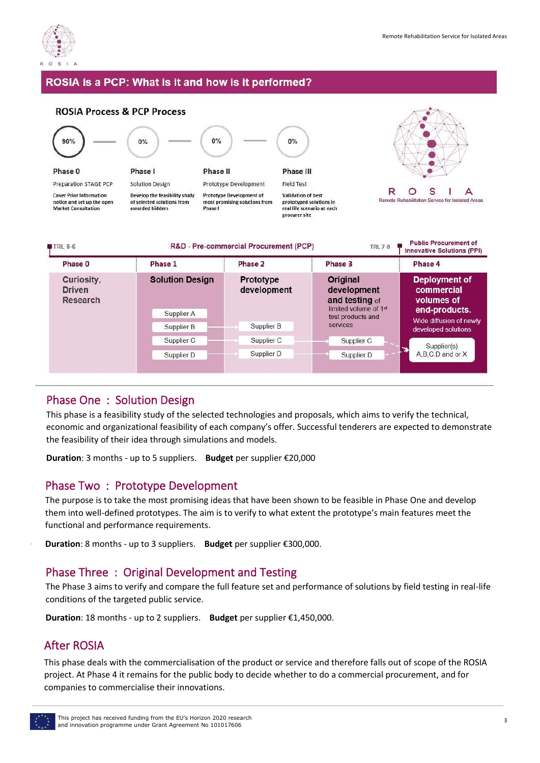

#### ROSIA is a PCP: What is it and how is it performed?



#### Phase One Phase One : Solution Design

This phase is a feasibility study of the selected technologies and proposals, which aims to verify the technical, the feasibility of their idea through simulations and models. economic and organizational feasibility of each company's offer. Successful tenderers are expected to demonstrate

technologies and proposals, which aims to verify the **Duration**: 3 months - up to 5 suppliers. **Budget** per supplier €20,000  $\mathbf{r}$  and performance of solutions by field testing in reallife conditions of the targeted public service.

## Phase Two : Prototype Development

The purpose is to take the most promising ideas that have been shown to be feasible in Phase One and develop **Duration**: 3 months of 5 suppliers. functional and performance requirements. them into well-defined prototypes. The aim is to verify to what extent the prototype's main features meet the

**Duration**: 8 months - up to 3 suppliers. **Budget** per supplier €300,000.

## Phase Two Phase Three : Original Development and Testing<br>The Rose 2 simula uniform company the following the development

conditions of the targeted public service. This phase deals with the commercialisation of the The Phase 3 aims to verify and compare the full feature set and performance of solutions by field testing in real-life

hustian 10 months, un to 2 suppliers Dudge **Duration**: 18 months - up to 2 suppliers. **Budget** per supplier €1,450,000.

#### $\mathbf{r}$  to vertify the prototype the prototype's matrix  $\mathbf{r}$ After ROSIA

This phase deals with the commercialisation of the product or service and therefore falls out of scope of the ROSIA project: At Friday + it remains for the process of  $\frac{1}{2}$ companies to commercialise their innovations. project. At Phase 4 it remains for the public body to decide whether to do a commercial procurement, and for